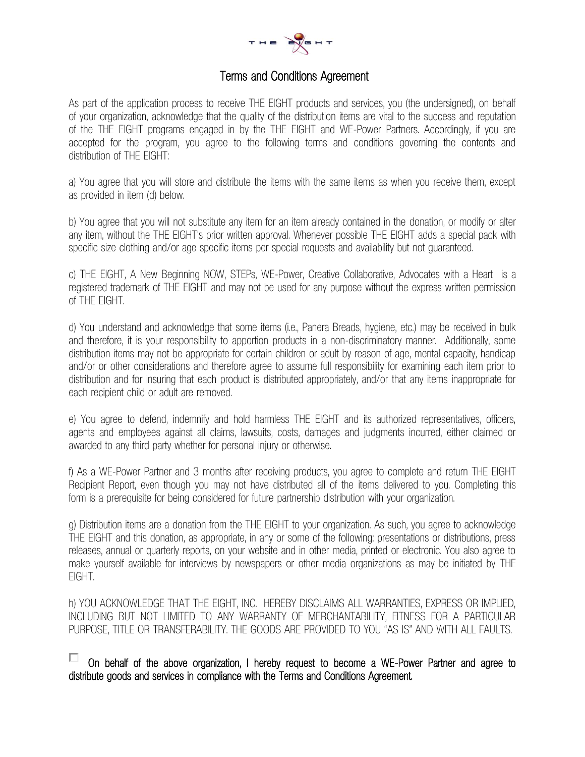

## Terms and Conditions Agreement

As part of the application process to receive THE EIGHT products and services, you (the undersigned), on behalf of your organization, acknowledge that the quality of the distribution items are vital to the success and reputation of the THE EIGHT programs engaged in by the THE EIGHT and WE-Power Partners. Accordingly, if you are accepted for the program, you agree to the following terms and conditions governing the contents and distribution of THE EIGHT:

a) You agree that you will store and distribute the items with the same items as when you receive them, except as provided in item (d) below.

b) You agree that you will not substitute any item for an item already contained in the donation, or modify or alter any item, without the THE EIGHT's prior written approval. Whenever possible THE EIGHT adds a special pack with specific size clothing and/or age specific items per special requests and availability but not guaranteed.

c) THE EIGHT, A New Beginning NOW, STEPs, WE-Power, Creative Collaborative, Advocates with a Heart is a registered trademark of THE EIGHT and may not be used for any purpose without the express written permission of THE EIGHT.

d) You understand and acknowledge that some items (i.e., Panera Breads, hygiene, etc.) may be received in bulk and therefore, it is your responsibility to apportion products in a non-discriminatory manner. Additionally, some distribution items may not be appropriate for certain children or adult by reason of age, mental capacity, handicap and/or or other considerations and therefore agree to assume full responsibility for examining each item prior to distribution and for insuring that each product is distributed appropriately, and/or that any items inappropriate for each recipient child or adult are removed.

e) You agree to defend, indemnify and hold harmless THE EIGHT and its authorized representatives, officers, agents and employees against all claims, lawsuits, costs, damages and judgments incurred, either claimed or awarded to any third party whether for personal injury or otherwise.

f) As a WE-Power Partner and 3 months after receiving products, you agree to complete and return THE EIGHT Recipient Report, even though you may not have distributed all of the items delivered to you. Completing this form is a prerequisite for being considered for future partnership distribution with your organization.

g) Distribution items are a donation from the THE EIGHT to your organization. As such, you agree to acknowledge THE EIGHT and this donation, as appropriate, in any or some of the following: presentations or distributions, press releases, annual or quarterly reports, on your website and in other media, printed or electronic. You also agree to make yourself available for interviews by newspapers or other media organizations as may be initiated by THE EIGHT.

h) YOU ACKNOWLEDGE THAT THE EIGHT, INC. HEREBY DISCLAIMS ALL WARRANTIES, EXPRESS OR IMPLIED, INCLUDING BUT NOT LIMITED TO ANY WARRANTY OF MERCHANTABILITY, FITNESS FOR A PARTICULAR PURPOSE, TITLE OR TRANSFERABILITY. THE GOODS ARE PROVIDED TO YOU "AS IS" AND WITH ALL FAULTS.

On behalf of the above organization, I hereby request to become a WE-Power Partner and agree to distribute goods and services in compliance with the Terms and Conditions Agreement.